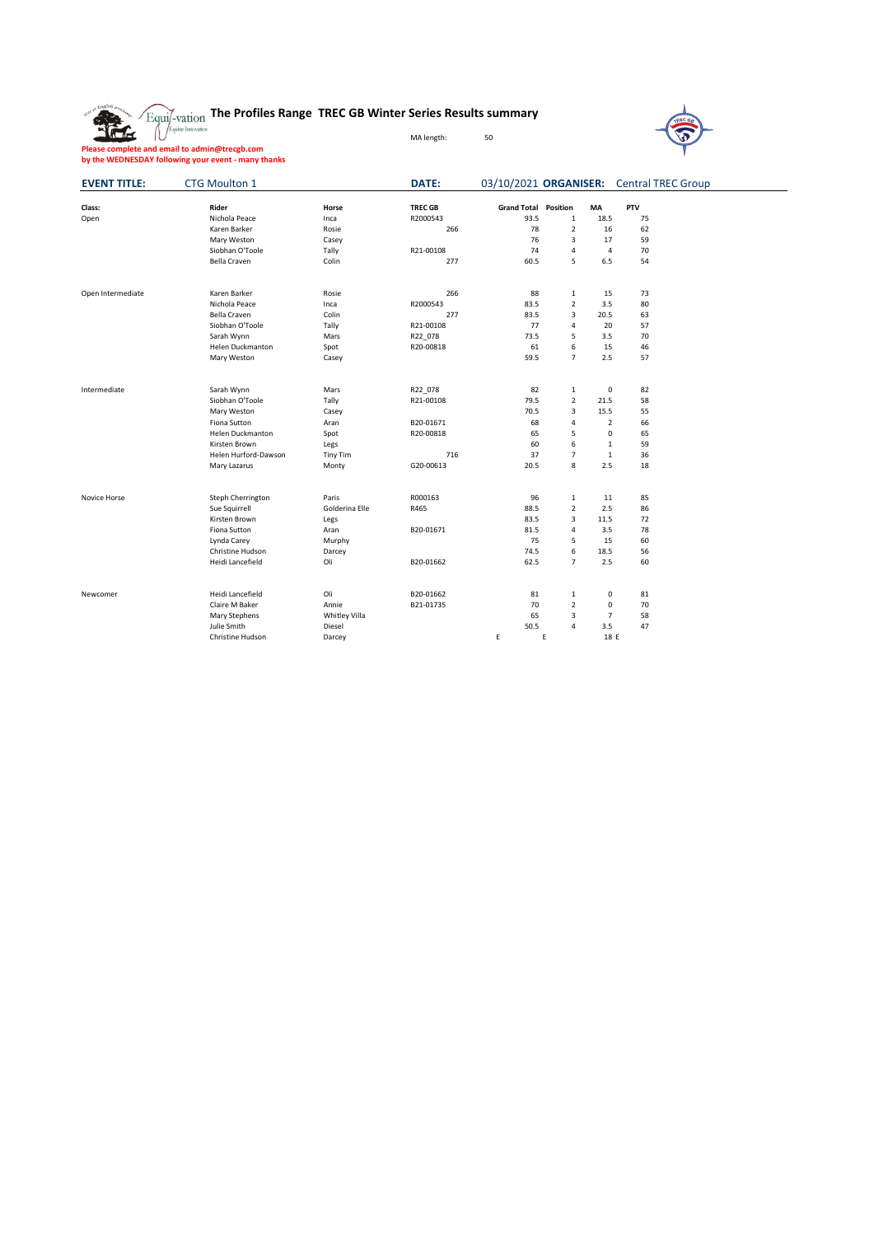## **The Profiles Range TREC GB Winter Series Results summary**

MA length: 50



**Please complete and email to admin@trecgb.com by the WEDNESDAY following your event - many thanks**

The

| PTV<br>Class:<br><b>TREC GB</b><br><b>Grand Total Position</b><br>Rider<br>MA<br>Horse<br>Nichola Peace<br>R2000543<br>93.5<br>$\mathbf{1}$<br>18.5<br>75<br>Open<br>Inca<br>78<br>$\overline{2}$<br>Karen Barker<br>266<br>16<br>62<br>Rosie<br>76<br>3<br>59<br>17<br>Mary Weston<br>Casey<br>Siobhan O'Toole<br>Tally<br>R21-00108<br>74<br>70<br>4<br>4<br>277<br>60.5<br>5<br>6.5<br>54<br>Bella Craven<br>Colin<br>Open Intermediate<br>266<br>88<br>73<br>Karen Barker<br>Rosie<br>$1\,$<br>15<br>$\overline{2}$<br>R2000543<br>83.5<br>3.5<br>80<br>Nichola Peace<br>Inca<br>277<br>83.5<br>3<br>63<br><b>Bella Craven</b><br>Colin<br>20.5<br>Siobhan O'Toole<br>R21-00108<br>77<br>4<br>20<br>57<br>Tally<br>5<br>70<br>73.5<br>3.5<br>Sarah Wynn<br>Mars<br>R22_078<br>6<br>Helen Duckmanton<br>R20-00818<br>61<br>15<br>46<br>Spot<br>59.5<br>$\overline{7}$<br>2.5<br>57<br>Mary Weston<br>Casey<br>Intermediate<br>82<br>0<br>82<br>Sarah Wynn<br>Mars<br>R22_078<br>1<br>$\overline{2}$<br>58<br>Siobhan O'Toole<br>R21-00108<br>79.5<br>21.5<br>Tally<br>3<br>70.5<br>15.5<br>55<br>Mary Weston<br>Casey<br>66<br>Fiona Sutton<br>B20-01671<br>68<br>4<br>$\overline{2}$<br>Aran<br>5<br>$\mathbf 0$<br>R20-00818<br>65<br>65<br><b>Helen Duckmanton</b><br>Spot<br>60<br>6<br>$\mathbf{1}$<br>59<br>Kirsten Brown<br>Legs<br>Helen Hurford-Dawson<br>716<br>37<br>$\overline{7}$<br>$\mathbf{1}$<br>36<br><b>Tiny Tim</b><br>8<br>2.5<br>18<br>G20-00613<br>20.5<br>Mary Lazarus<br>Monty<br>R000163<br>96<br>85<br>Steph Cherrington<br>Paris<br>$\mathbf 1$<br>Novice Horse<br>11<br>$\overline{2}$<br>Golderina Elle<br>R465<br>88.5<br>2.5<br>86<br>Sue Squirrell<br>3<br>Kirsten Brown<br>83.5<br>11.5<br>72<br>Legs<br>78<br>Fiona Sutton<br>B20-01671<br>81.5<br>$\overline{4}$<br>3.5<br>Aran<br>75<br>5<br>15<br>60<br>Lynda Carey<br>Murphy | 03/10/2021 ORGANISER: Central TREC Group |
|------------------------------------------------------------------------------------------------------------------------------------------------------------------------------------------------------------------------------------------------------------------------------------------------------------------------------------------------------------------------------------------------------------------------------------------------------------------------------------------------------------------------------------------------------------------------------------------------------------------------------------------------------------------------------------------------------------------------------------------------------------------------------------------------------------------------------------------------------------------------------------------------------------------------------------------------------------------------------------------------------------------------------------------------------------------------------------------------------------------------------------------------------------------------------------------------------------------------------------------------------------------------------------------------------------------------------------------------------------------------------------------------------------------------------------------------------------------------------------------------------------------------------------------------------------------------------------------------------------------------------------------------------------------------------------------------------------------------------------------------------------------------------------------------------------------------------------------------------------------------|------------------------------------------|
|                                                                                                                                                                                                                                                                                                                                                                                                                                                                                                                                                                                                                                                                                                                                                                                                                                                                                                                                                                                                                                                                                                                                                                                                                                                                                                                                                                                                                                                                                                                                                                                                                                                                                                                                                                                                                                                                        |                                          |
|                                                                                                                                                                                                                                                                                                                                                                                                                                                                                                                                                                                                                                                                                                                                                                                                                                                                                                                                                                                                                                                                                                                                                                                                                                                                                                                                                                                                                                                                                                                                                                                                                                                                                                                                                                                                                                                                        |                                          |
|                                                                                                                                                                                                                                                                                                                                                                                                                                                                                                                                                                                                                                                                                                                                                                                                                                                                                                                                                                                                                                                                                                                                                                                                                                                                                                                                                                                                                                                                                                                                                                                                                                                                                                                                                                                                                                                                        |                                          |
|                                                                                                                                                                                                                                                                                                                                                                                                                                                                                                                                                                                                                                                                                                                                                                                                                                                                                                                                                                                                                                                                                                                                                                                                                                                                                                                                                                                                                                                                                                                                                                                                                                                                                                                                                                                                                                                                        |                                          |
|                                                                                                                                                                                                                                                                                                                                                                                                                                                                                                                                                                                                                                                                                                                                                                                                                                                                                                                                                                                                                                                                                                                                                                                                                                                                                                                                                                                                                                                                                                                                                                                                                                                                                                                                                                                                                                                                        |                                          |
|                                                                                                                                                                                                                                                                                                                                                                                                                                                                                                                                                                                                                                                                                                                                                                                                                                                                                                                                                                                                                                                                                                                                                                                                                                                                                                                                                                                                                                                                                                                                                                                                                                                                                                                                                                                                                                                                        |                                          |
|                                                                                                                                                                                                                                                                                                                                                                                                                                                                                                                                                                                                                                                                                                                                                                                                                                                                                                                                                                                                                                                                                                                                                                                                                                                                                                                                                                                                                                                                                                                                                                                                                                                                                                                                                                                                                                                                        |                                          |
|                                                                                                                                                                                                                                                                                                                                                                                                                                                                                                                                                                                                                                                                                                                                                                                                                                                                                                                                                                                                                                                                                                                                                                                                                                                                                                                                                                                                                                                                                                                                                                                                                                                                                                                                                                                                                                                                        |                                          |
|                                                                                                                                                                                                                                                                                                                                                                                                                                                                                                                                                                                                                                                                                                                                                                                                                                                                                                                                                                                                                                                                                                                                                                                                                                                                                                                                                                                                                                                                                                                                                                                                                                                                                                                                                                                                                                                                        |                                          |
|                                                                                                                                                                                                                                                                                                                                                                                                                                                                                                                                                                                                                                                                                                                                                                                                                                                                                                                                                                                                                                                                                                                                                                                                                                                                                                                                                                                                                                                                                                                                                                                                                                                                                                                                                                                                                                                                        |                                          |
|                                                                                                                                                                                                                                                                                                                                                                                                                                                                                                                                                                                                                                                                                                                                                                                                                                                                                                                                                                                                                                                                                                                                                                                                                                                                                                                                                                                                                                                                                                                                                                                                                                                                                                                                                                                                                                                                        |                                          |
|                                                                                                                                                                                                                                                                                                                                                                                                                                                                                                                                                                                                                                                                                                                                                                                                                                                                                                                                                                                                                                                                                                                                                                                                                                                                                                                                                                                                                                                                                                                                                                                                                                                                                                                                                                                                                                                                        |                                          |
|                                                                                                                                                                                                                                                                                                                                                                                                                                                                                                                                                                                                                                                                                                                                                                                                                                                                                                                                                                                                                                                                                                                                                                                                                                                                                                                                                                                                                                                                                                                                                                                                                                                                                                                                                                                                                                                                        |                                          |
|                                                                                                                                                                                                                                                                                                                                                                                                                                                                                                                                                                                                                                                                                                                                                                                                                                                                                                                                                                                                                                                                                                                                                                                                                                                                                                                                                                                                                                                                                                                                                                                                                                                                                                                                                                                                                                                                        |                                          |
|                                                                                                                                                                                                                                                                                                                                                                                                                                                                                                                                                                                                                                                                                                                                                                                                                                                                                                                                                                                                                                                                                                                                                                                                                                                                                                                                                                                                                                                                                                                                                                                                                                                                                                                                                                                                                                                                        |                                          |
|                                                                                                                                                                                                                                                                                                                                                                                                                                                                                                                                                                                                                                                                                                                                                                                                                                                                                                                                                                                                                                                                                                                                                                                                                                                                                                                                                                                                                                                                                                                                                                                                                                                                                                                                                                                                                                                                        |                                          |
|                                                                                                                                                                                                                                                                                                                                                                                                                                                                                                                                                                                                                                                                                                                                                                                                                                                                                                                                                                                                                                                                                                                                                                                                                                                                                                                                                                                                                                                                                                                                                                                                                                                                                                                                                                                                                                                                        |                                          |
|                                                                                                                                                                                                                                                                                                                                                                                                                                                                                                                                                                                                                                                                                                                                                                                                                                                                                                                                                                                                                                                                                                                                                                                                                                                                                                                                                                                                                                                                                                                                                                                                                                                                                                                                                                                                                                                                        |                                          |
|                                                                                                                                                                                                                                                                                                                                                                                                                                                                                                                                                                                                                                                                                                                                                                                                                                                                                                                                                                                                                                                                                                                                                                                                                                                                                                                                                                                                                                                                                                                                                                                                                                                                                                                                                                                                                                                                        |                                          |
|                                                                                                                                                                                                                                                                                                                                                                                                                                                                                                                                                                                                                                                                                                                                                                                                                                                                                                                                                                                                                                                                                                                                                                                                                                                                                                                                                                                                                                                                                                                                                                                                                                                                                                                                                                                                                                                                        |                                          |
|                                                                                                                                                                                                                                                                                                                                                                                                                                                                                                                                                                                                                                                                                                                                                                                                                                                                                                                                                                                                                                                                                                                                                                                                                                                                                                                                                                                                                                                                                                                                                                                                                                                                                                                                                                                                                                                                        |                                          |
|                                                                                                                                                                                                                                                                                                                                                                                                                                                                                                                                                                                                                                                                                                                                                                                                                                                                                                                                                                                                                                                                                                                                                                                                                                                                                                                                                                                                                                                                                                                                                                                                                                                                                                                                                                                                                                                                        |                                          |
|                                                                                                                                                                                                                                                                                                                                                                                                                                                                                                                                                                                                                                                                                                                                                                                                                                                                                                                                                                                                                                                                                                                                                                                                                                                                                                                                                                                                                                                                                                                                                                                                                                                                                                                                                                                                                                                                        |                                          |
|                                                                                                                                                                                                                                                                                                                                                                                                                                                                                                                                                                                                                                                                                                                                                                                                                                                                                                                                                                                                                                                                                                                                                                                                                                                                                                                                                                                                                                                                                                                                                                                                                                                                                                                                                                                                                                                                        |                                          |
|                                                                                                                                                                                                                                                                                                                                                                                                                                                                                                                                                                                                                                                                                                                                                                                                                                                                                                                                                                                                                                                                                                                                                                                                                                                                                                                                                                                                                                                                                                                                                                                                                                                                                                                                                                                                                                                                        |                                          |
|                                                                                                                                                                                                                                                                                                                                                                                                                                                                                                                                                                                                                                                                                                                                                                                                                                                                                                                                                                                                                                                                                                                                                                                                                                                                                                                                                                                                                                                                                                                                                                                                                                                                                                                                                                                                                                                                        |                                          |
| 6<br>18.5<br>56<br>Christine Hudson<br>74.5<br>Darcey                                                                                                                                                                                                                                                                                                                                                                                                                                                                                                                                                                                                                                                                                                                                                                                                                                                                                                                                                                                                                                                                                                                                                                                                                                                                                                                                                                                                                                                                                                                                                                                                                                                                                                                                                                                                                  |                                          |
| Heidi Lancefield<br>Oli<br>B20-01662<br>62.5<br>$\overline{7}$<br>2.5<br>60                                                                                                                                                                                                                                                                                                                                                                                                                                                                                                                                                                                                                                                                                                                                                                                                                                                                                                                                                                                                                                                                                                                                                                                                                                                                                                                                                                                                                                                                                                                                                                                                                                                                                                                                                                                            |                                          |
| Heidi Lancefield<br>Oli<br>B20-01662<br>81<br>$\mathbf{1}$<br>0<br>81<br>Newcomer                                                                                                                                                                                                                                                                                                                                                                                                                                                                                                                                                                                                                                                                                                                                                                                                                                                                                                                                                                                                                                                                                                                                                                                                                                                                                                                                                                                                                                                                                                                                                                                                                                                                                                                                                                                      |                                          |
| $\overline{2}$<br>70<br>$\mathbf 0$<br>70<br>Claire M Baker<br>Annie<br>B21-01735                                                                                                                                                                                                                                                                                                                                                                                                                                                                                                                                                                                                                                                                                                                                                                                                                                                                                                                                                                                                                                                                                                                                                                                                                                                                                                                                                                                                                                                                                                                                                                                                                                                                                                                                                                                      |                                          |
| $\overline{7}$<br>65<br>3<br>58<br>Mary Stephens<br>Whitley Villa                                                                                                                                                                                                                                                                                                                                                                                                                                                                                                                                                                                                                                                                                                                                                                                                                                                                                                                                                                                                                                                                                                                                                                                                                                                                                                                                                                                                                                                                                                                                                                                                                                                                                                                                                                                                      |                                          |
| 50.5<br>3.5<br>Julie Smith<br>4<br>47<br>Diesel                                                                                                                                                                                                                                                                                                                                                                                                                                                                                                                                                                                                                                                                                                                                                                                                                                                                                                                                                                                                                                                                                                                                                                                                                                                                                                                                                                                                                                                                                                                                                                                                                                                                                                                                                                                                                        |                                          |
| E<br>E<br>18 E<br>Christine Hudson<br>Darcey                                                                                                                                                                                                                                                                                                                                                                                                                                                                                                                                                                                                                                                                                                                                                                                                                                                                                                                                                                                                                                                                                                                                                                                                                                                                                                                                                                                                                                                                                                                                                                                                                                                                                                                                                                                                                           |                                          |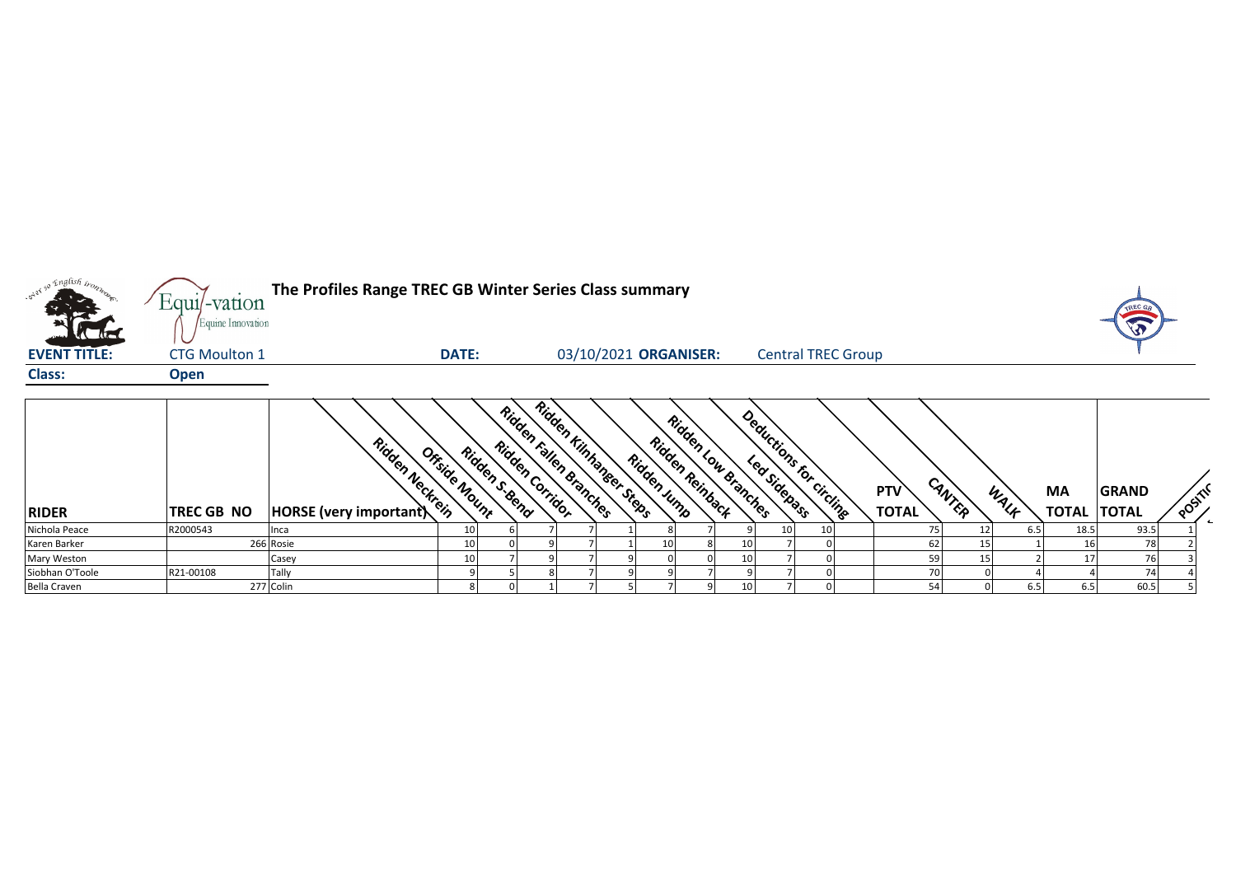

| <b>RIDER</b>        | <b>TREC GB NO</b> | Ridden Neckrein<br><b>HORSE</b> (very important) | Offside Nount | Ridden S. Bend | Ridden Carridor | Ridden Kinhanger Steps<br>Ridden Fallen Branches | Ridden Jump | Ridden ,<br>Ridden Reinback | Low Branches | Deductions f.<br>Led Sidebass | For circling | <b>PTV</b><br>TOTAL | CANTER | WALF | МA<br><b>TOTAL</b> | <b>GRAND</b><br><b>TOTAL</b> | $\circ$ <sup>65</sup> |  |
|---------------------|-------------------|--------------------------------------------------|---------------|----------------|-----------------|--------------------------------------------------|-------------|-----------------------------|--------------|-------------------------------|--------------|---------------------|--------|------|--------------------|------------------------------|-----------------------|--|
| Nichola Peace       | R2000543          | Inca                                             | 10            |                |                 |                                                  |             |                             |              | 10 <sub>l</sub>               | 10           |                     |        | 6.51 | 18.5               | 93.5                         |                       |  |
| Karen Barker        |                   | 266 Rosie                                        | 10            |                |                 |                                                  | 10          |                             | 10           |                               |              | 62                  |        |      |                    | 78                           |                       |  |
| Mary Weston         |                   | Casey                                            | 10            |                |                 |                                                  |             |                             | 10           |                               |              | 59                  |        |      |                    |                              |                       |  |
| Siobhan O'Toole     | R21-00108         | Tally                                            |               |                |                 |                                                  |             |                             |              |                               |              |                     |        |      |                    |                              |                       |  |
| <b>Bella Craven</b> |                   | 277 Colin                                        |               |                |                 |                                                  |             |                             |              |                               |              |                     |        | 6.5  | 6.5                | 60.5                         |                       |  |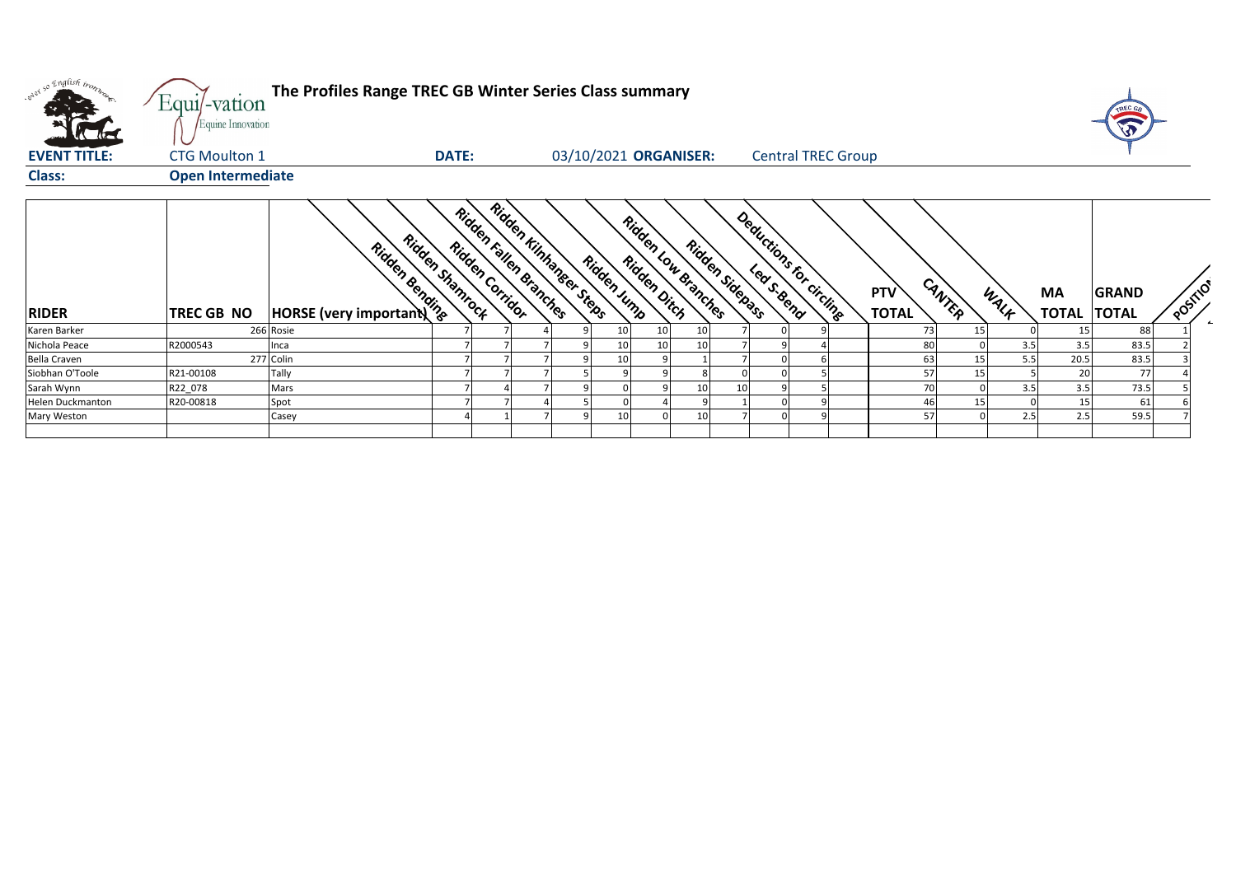| what so English trong   | The Profiles Range TREC GB Winter Series Class summary<br>Equi/-vation<br>Equine Innovation<br>03/10/2021 ORGANISER:<br><b>DATE:</b><br><b>Central TREC Group</b> |                                                                 |                 |                        |                        |   |                 |                     |    |                 |                         |                            |        |      |                                 | TREC GA      |        |
|-------------------------|-------------------------------------------------------------------------------------------------------------------------------------------------------------------|-----------------------------------------------------------------|-----------------|------------------------|------------------------|---|-----------------|---------------------|----|-----------------|-------------------------|----------------------------|--------|------|---------------------------------|--------------|--------|
| <b>EVENT TITLE:</b>     | <b>CTG Moulton 1</b>                                                                                                                                              |                                                                 |                 |                        |                        |   |                 |                     |    |                 |                         |                            |        |      |                                 |              |        |
| Class:                  | <b>Open Intermediate</b>                                                                                                                                          |                                                                 |                 |                        |                        |   |                 |                     |    |                 |                         |                            |        |      |                                 |              |        |
| <b>RIDER</b>            | TREC GB NO                                                                                                                                                        | <b>Ridden Tiden Strategy Rd.</b><br>HORSE (very important) Text | Ridden Stamrock | Ridden Fallen Branches | Ridden Kinhanger Steas |   | Ridden Jump     | Ridden Low Branches |    | Ridden Sidepass | Deductions for Circline | <b>PTV</b><br><b>TOTAL</b> | CANTER | WALF | <b>MA</b><br><b>TOTAL TOTAL</b> | <b>GRAND</b> | POSTIO |
| Karen Barker            |                                                                                                                                                                   | 266 Rosie                                                       |                 |                        |                        |   | 10              | 10                  | 10 |                 |                         | 73                         | 15     |      | 15                              | 88           |        |
| Nichola Peace           | R2000543                                                                                                                                                          | Inca                                                            |                 |                        |                        |   | 10 <sup>1</sup> | 10                  | 10 |                 |                         | 80                         |        | 3.5  | 3.5                             | 83.5         |        |
| Bella Craven            |                                                                                                                                                                   | 277 Colin                                                       |                 |                        |                        |   | 10              | 9                   |    |                 |                         | 63                         | 15     | 5.5  | 20.5                            | 83.5         |        |
| Siobhan O'Toole         | R21-00108                                                                                                                                                         | Tally                                                           |                 |                        |                        |   |                 |                     |    |                 |                         | 57                         | 15     |      | 20                              | 77           |        |
| Sarah Wynn              | R22_078                                                                                                                                                           | Mars                                                            |                 |                        |                        | a |                 | 9                   | 10 | 10<br>q         |                         | 70                         |        | 3.5  | 3.5                             | 73.5         |        |
| <b>Helen Duckmanton</b> | R20-00818                                                                                                                                                         | Spot                                                            |                 |                        |                        |   |                 |                     |    |                 |                         | 46                         | 15     |      | 15                              | 61           |        |
| Mary Weston             |                                                                                                                                                                   | Casey                                                           |                 |                        |                        |   | 10              |                     | 10 |                 |                         | 57                         |        | 2.5  | 2.5                             | 59.5         |        |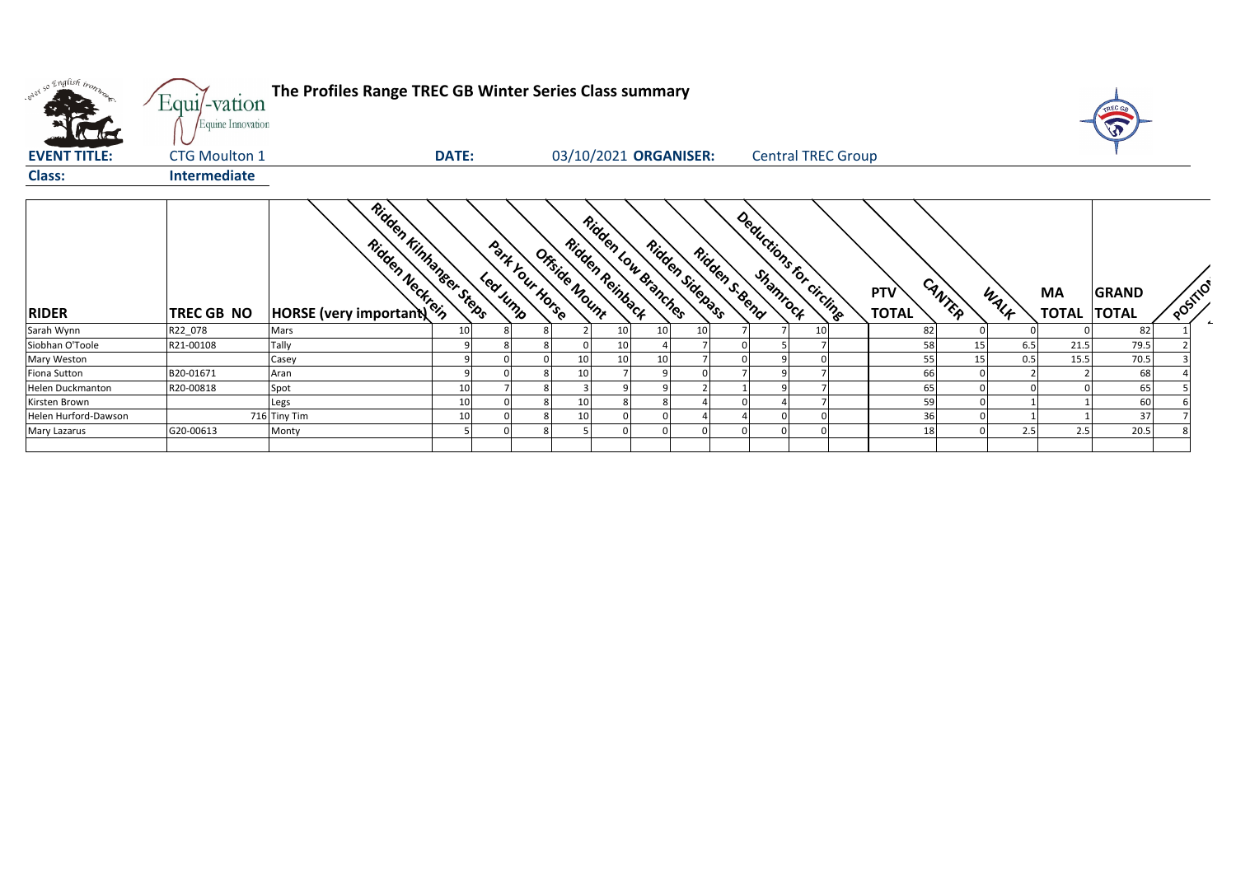| were so English trong   | Equi/-vation<br>Equine Innovation | The Profiles Range TREC GB Winter Series Class summary               |              |          |                 |                                  |    |                                        |    |                |                           |                            |        |      |                          | TREC G       |        |
|-------------------------|-----------------------------------|----------------------------------------------------------------------|--------------|----------|-----------------|----------------------------------|----|----------------------------------------|----|----------------|---------------------------|----------------------------|--------|------|--------------------------|--------------|--------|
| <b>EVENT TITLE:</b>     | <b>CTG Moulton 1</b>              |                                                                      | <b>DATE:</b> |          |                 |                                  |    | 03/10/2021 ORGANISER:                  |    |                | <b>Central TREC Group</b> |                            |        |      |                          |              |        |
| <b>Class:</b>           | <b>Intermediate</b>               |                                                                      |              |          |                 |                                  |    |                                        |    |                |                           |                            |        |      |                          |              |        |
| <b>RIDER</b>            | TREC GB NO                        | Ridden Kinhanger Steets<br>Ridden Neckrein<br>HORSE (very important) |              | Leavinne | Park Your Horse | Ridden Reinback<br>Ortside Nount |    | Ridden Low Branches<br>Ridden Sidenass |    | Ridden S. Bend | Deductions for circlinge  | <b>PTV</b><br><b>TOTAL</b> | CANTER | WALK | MA<br><b>TOTAL TOTAL</b> | <b>GRAND</b> | POSTIO |
| Sarah Wynn              | R22 078                           | Mars                                                                 | 10           |          |                 |                                  | 10 | 10 <sup>1</sup>                        | 10 |                | 10                        | 82                         |        |      |                          | 82           |        |
| Siobhan O'Toole         | R21-00108                         | Tally                                                                |              |          |                 |                                  | 10 |                                        |    |                |                           | 58                         | 15     | 6.5  | 21.5                     | 79.5         |        |
| Mary Weston             |                                   | Casey                                                                |              |          |                 | 10                               | 10 | 10                                     |    |                |                           | 55                         | 15     | 0.5  | 15.5                     | 70.5         |        |
| Fiona Sutton            | B20-01671                         | Aran                                                                 |              |          |                 | 10                               |    |                                        |    |                |                           | 66                         |        |      |                          | 68           |        |
| <b>Helen Duckmanton</b> | R20-00818                         | Spot                                                                 | 10           |          |                 |                                  |    |                                        |    |                |                           | 65                         |        |      |                          | 65           |        |
| Kirsten Brown           |                                   | Legs                                                                 | 10           |          |                 | 10                               |    | 8                                      |    |                |                           | 59                         |        |      |                          | 60           |        |
| Helen Hurford-Dawson    |                                   | 716 Tiny Tim                                                         | 10           |          |                 | 10                               |    |                                        |    |                |                           | 36                         |        |      |                          | 37           |        |
| Mary Lazarus            | G20-00613                         | Monty                                                                |              |          |                 |                                  |    |                                        |    |                |                           | 18                         |        | 2.5  | 2.5                      | 20.5         |        |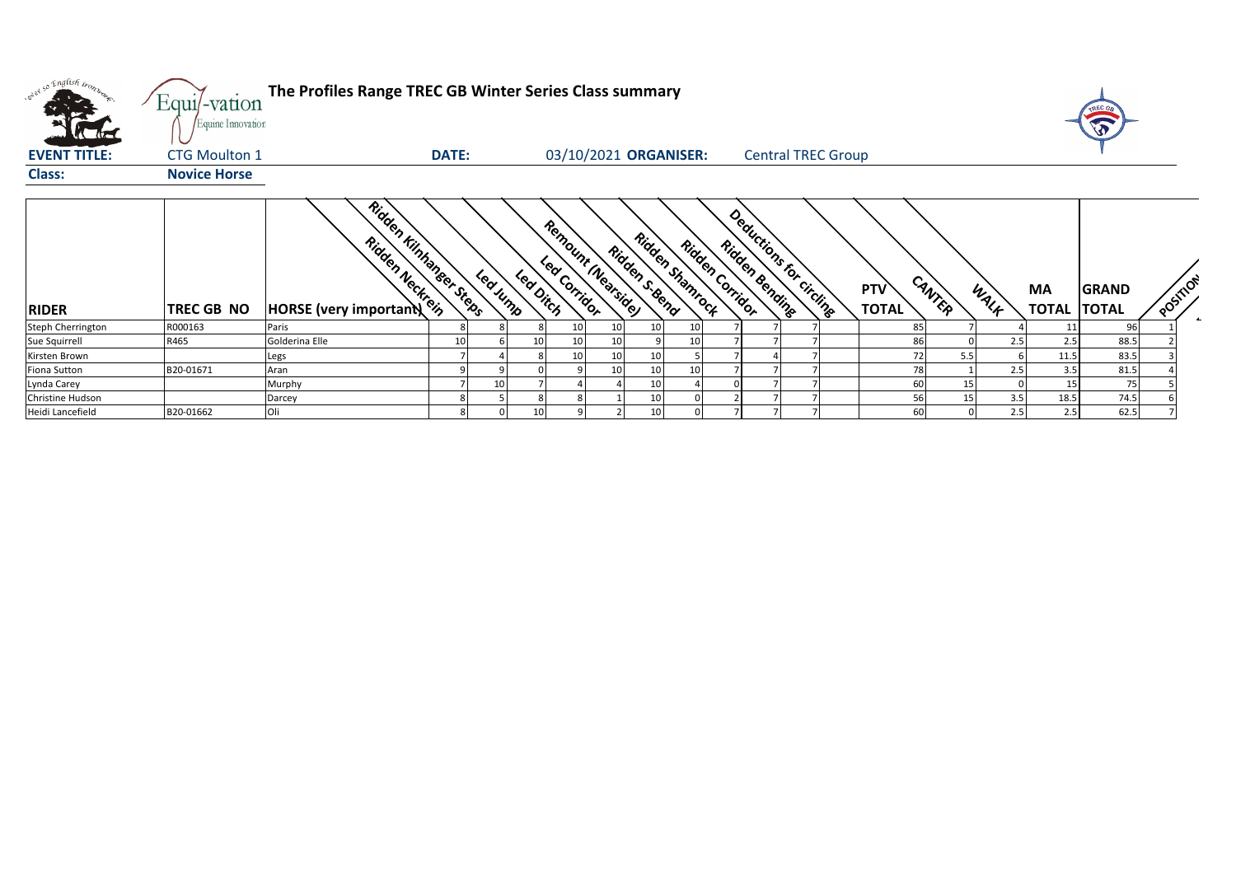| what so English trong    | Equi/-vation<br>Equine Innovation | The Profiles Range TREC GB Winter Series Class summary              |              |         |           |                       |    |                                  |    |                                                               |                           |                            |                |      |                          | TREC G<br>W  |          |
|--------------------------|-----------------------------------|---------------------------------------------------------------------|--------------|---------|-----------|-----------------------|----|----------------------------------|----|---------------------------------------------------------------|---------------------------|----------------------------|----------------|------|--------------------------|--------------|----------|
| <b>EVENT TITLE:</b>      | <b>CTG Moulton 1</b>              |                                                                     | <b>DATE:</b> |         |           | 03/10/2021 ORGANISER: |    |                                  |    |                                                               | <b>Central TREC Group</b> |                            |                |      |                          |              |          |
| <b>Class:</b>            | <b>Novice Horse</b>               |                                                                     |              |         |           |                       |    |                                  |    |                                                               |                           |                            |                |      |                          |              |          |
| <b>RIDER</b>             | <b>TREC GB NO</b>                 | Ridden Kinhanger Steps<br>Ridden Neckrein<br>HORSE (very important) |              | Leaving | Led Dirch | Remount Nearside      |    | Ridden Stampock<br>Ridden s.gend |    | Deductions for circlines<br>Ridden Corridor<br>Ridden Bending |                           | <b>PTV</b><br><b>TOTAL</b> | CANTER         | WALF | MA<br><b>TOTAL TOTAL</b> | <b>GRAND</b> | POSITION |
| <b>Steph Cherrington</b> | R000163                           | Paris                                                               |              |         |           | 10                    | 10 | 10                               |    |                                                               |                           |                            | 85             |      | 11                       | 96           |          |
| Sue Squirrell            | R465                              | Golderina Elle                                                      | 10           |         | 10        | 10                    | 10 |                                  | 10 |                                                               |                           |                            | 86             | 2.5  | 2.5                      | 88.5         |          |
| Kirsten Brown            |                                   | .egs                                                                |              |         |           | 10                    | 10 |                                  |    |                                                               |                           |                            | 72<br>5.5      |      | 11.5                     | 83.5         |          |
| <b>Fiona Sutton</b>      | B20-01671                         | Aran                                                                |              |         |           |                       | 10 | 10                               | 10 |                                                               |                           |                            | 78             | 2.5  | 3.5                      | 81.5         |          |
| Lynda Carey              |                                   | Murphy                                                              |              | 10      |           |                       |    | 10                               |    |                                                               |                           |                            | 60<br>15       |      | 15                       | 75           |          |
| Christine Hudson         |                                   | Darcey                                                              |              |         |           |                       |    | 10                               |    |                                                               |                           |                            | 56<br>15       | 3.5  | 18.5                     | 74.5         |          |
| Heidi Lancefield         | B20-01662                         |                                                                     |              |         | 10        |                       |    | 10                               |    |                                                               |                           |                            | 60<br>$\Omega$ | 2.5  | 2.5                      | 62.5         |          |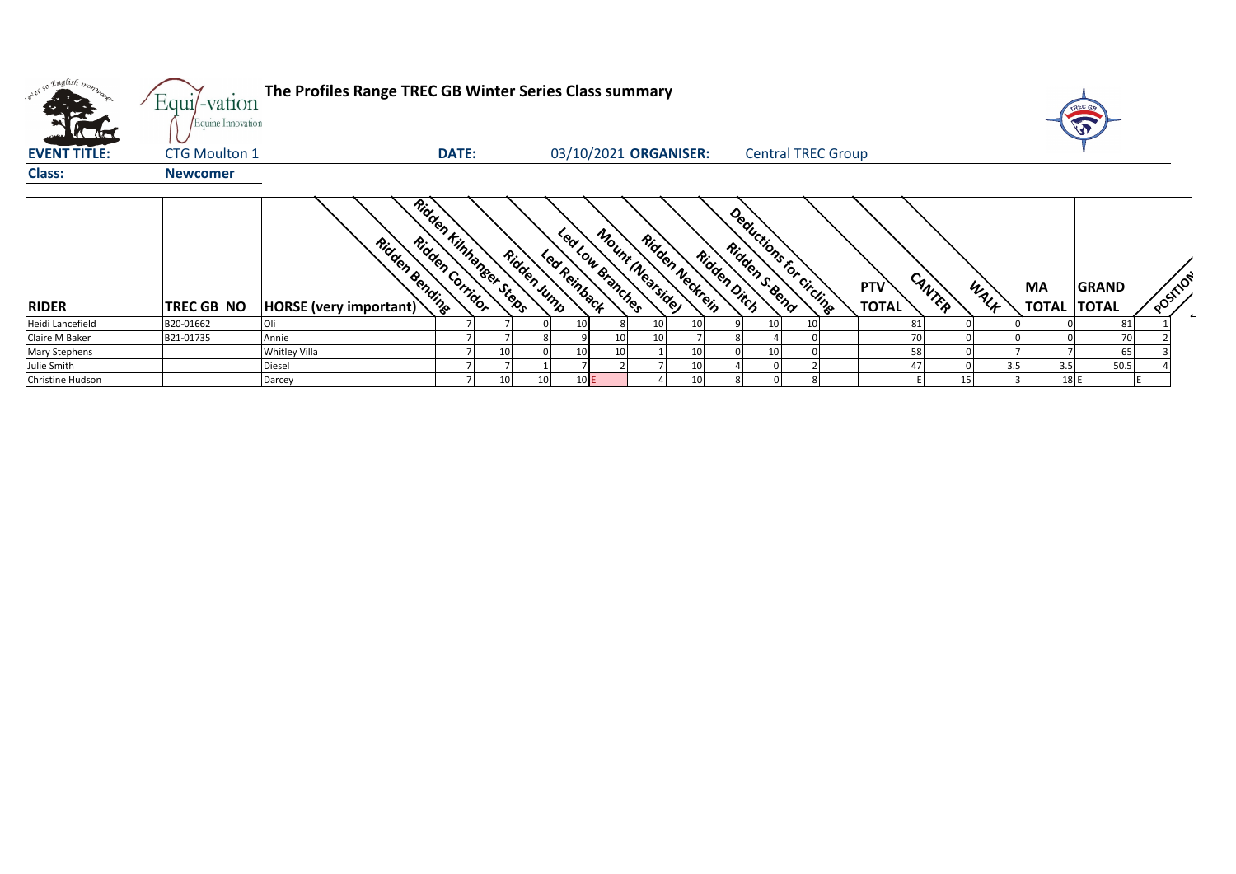| only so English trong<br><b>The direct</b> | Equi/-vation<br>Equine Innovation | The Profiles Range TREC GB Winter Series Class summary |                 |                        |             |              |                                      |                 |                 |             |                                           |    |                            |        |      |                    | TREC GA<br>$\mathbf{v}$      |          |  |
|--------------------------------------------|-----------------------------------|--------------------------------------------------------|-----------------|------------------------|-------------|--------------|--------------------------------------|-----------------|-----------------|-------------|-------------------------------------------|----|----------------------------|--------|------|--------------------|------------------------------|----------|--|
| <b>EVENT TITLE:</b>                        | <b>CTG Moulton 1</b>              |                                                        | <b>DATE:</b>    |                        |             |              | 03/10/2021 ORGANISER:                |                 |                 |             | <b>Central TREC Group</b>                 |    |                            |        |      |                    |                              |          |  |
| <b>Class:</b>                              | <b>Newcomer</b>                   |                                                        |                 |                        |             |              |                                      |                 |                 |             |                                           |    |                            |        |      |                    |                              |          |  |
| <b>RIDER</b>                               | <b>TREC GB NO</b>                 | Ridden Bending<br><b>HORSE</b> (very important)        | Ridden Corridor | Ridden Kinnanger Sters | Ridden Jump | Led Reinback | Mount (Nearside)<br>Led Low Branches | Ridden Neckrein |                 | Ridden Dich | Deductions for circling<br>Ridden s. Bend |    | <b>PTV</b><br><b>TOTAL</b> | CANTER | WALK | MA<br><b>TOTAL</b> | <b>GRAND</b><br><b>TOTAL</b> | POSTILON |  |
| Heidi Lancefield                           | B20-01662                         | Oli                                                    |                 |                        |             | 10           |                                      | 10 <sup>1</sup> | 10 <sup>1</sup> |             |                                           | 10 | 81                         |        |      |                    | 81                           |          |  |
| Claire M Baker                             | B21-01735                         | Annie                                                  |                 |                        |             |              |                                      | 10              |                 |             |                                           |    | 70                         |        |      |                    | 70                           |          |  |
| Mary Stephens                              |                                   | <b>Whitley Villa</b>                                   |                 | 10                     |             | 10           | 10                                   |                 | 10              |             |                                           |    | 58                         |        |      |                    | 65                           |          |  |
| Julie Smith                                |                                   | Diesel                                                 |                 |                        |             |              |                                      |                 | 10              |             |                                           |    | 47                         |        | 3.5  | 3.5                | 50.5                         |          |  |
| Christine Hudson                           |                                   | Darcey                                                 |                 | 10                     |             | 10E          |                                      |                 | 10 <sub>1</sub> |             |                                           |    |                            |        |      | 18 E               |                              |          |  |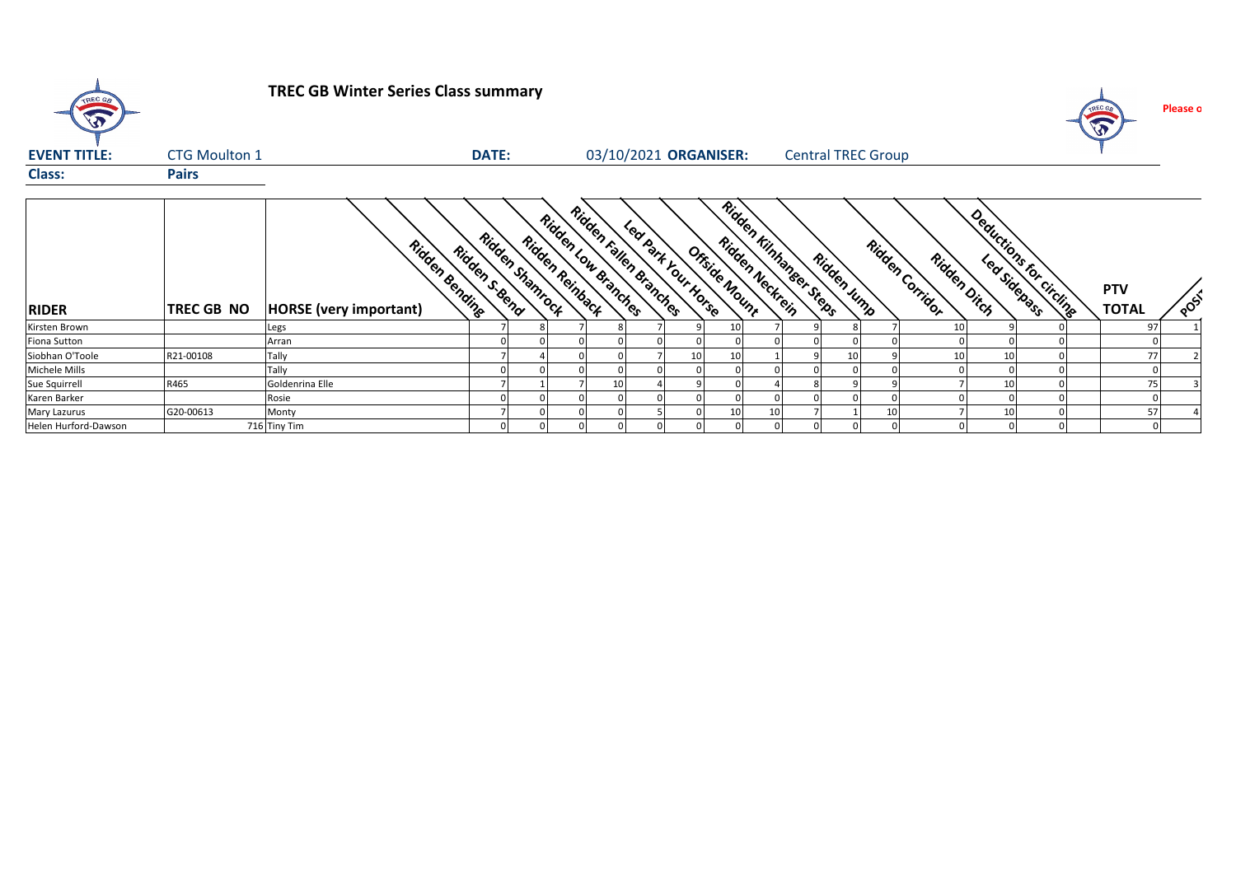| TREC GB              |                      | <b>TREC GB Winter Series Class summary</b>      |                                   |                 |                     |                                             |                |                                                             |    |             |                           |                                |    |                           | TREC GB<br>$\sqrt{3}$      | Please o |
|----------------------|----------------------|-------------------------------------------------|-----------------------------------|-----------------|---------------------|---------------------------------------------|----------------|-------------------------------------------------------------|----|-------------|---------------------------|--------------------------------|----|---------------------------|----------------------------|----------|
| <b>EVENT TITLE:</b>  | <b>CTG Moulton 1</b> |                                                 | DATE:                             |                 |                     |                                             |                | 03/10/2021 ORGANISER:                                       |    |             | <b>Central TREC Group</b> |                                |    |                           |                            |          |
| <b>Class:</b>        | <b>Pairs</b>         |                                                 |                                   |                 |                     |                                             |                |                                                             |    |             |                           |                                |    |                           |                            |          |
| <b>RIDER</b>         | <b>TREC GB NO</b>    | Ridden Bending<br><b>HORSE</b> (very important) | Ridden Stampock<br>Ridden s. Beno | Ridden Reinback | Ridden Low Branches | Ridden Fallen Branches<br>Learner You Horse |                | Ridden Kinhanger Steas-<br>Ridden Neckrein<br>Offside Nount |    | Ridden Jump |                           | Ridden Corridor<br>Ridden Dich |    | Deductions for circuitage | <b>PTV</b><br><b>TOTAL</b> | POST     |
| Kirsten Brown        |                      | Legs                                            |                                   |                 |                     |                                             |                | 10                                                          |    |             |                           | 10                             |    |                           | 97                         |          |
| Fiona Sutton         |                      | Arran                                           |                                   |                 |                     | $\Omega$                                    |                |                                                             |    |             |                           |                                |    |                           |                            |          |
| Siobhan O'Toole      | R21-00108            | Tally                                           |                                   |                 |                     |                                             | 10             | 10                                                          |    | 10          |                           | 10                             | 10 |                           | 77                         |          |
| Michele Mills        |                      | Tally                                           |                                   |                 |                     |                                             |                |                                                             |    |             |                           |                                |    |                           |                            |          |
| Sue Squirrell        | R465                 | Goldenrina Elle                                 |                                   |                 |                     |                                             |                |                                                             |    |             |                           |                                | 10 |                           | 75                         |          |
| Karen Barker         |                      | Rosie                                           |                                   |                 |                     |                                             |                |                                                             |    |             |                           |                                |    |                           |                            |          |
| <b>Mary Lazurus</b>  | G20-00613            | Monty                                           |                                   |                 |                     |                                             | $\Omega$       | 10                                                          | 10 |             | 10                        |                                | 10 |                           | 57                         |          |
| Helen Hurford-Dawson |                      | 716 Tiny Tim                                    |                                   |                 |                     | $\overline{0}$                              | $\overline{0}$ |                                                             |    |             |                           |                                |    |                           |                            |          |